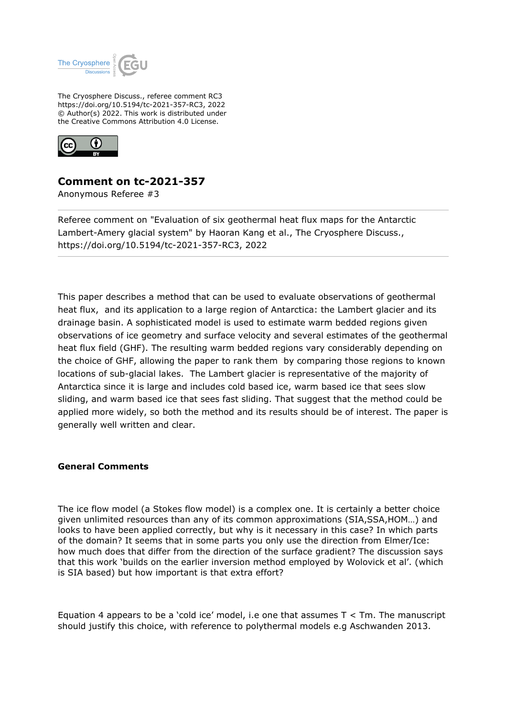

The Cryosphere Discuss., referee comment RC3 https://doi.org/10.5194/tc-2021-357-RC3, 2022 © Author(s) 2022. This work is distributed under the Creative Commons Attribution 4.0 License.



## **Comment on tc-2021-357**

Anonymous Referee #3

Referee comment on "Evaluation of six geothermal heat flux maps for the Antarctic Lambert-Amery glacial system" by Haoran Kang et al., The Cryosphere Discuss., https://doi.org/10.5194/tc-2021-357-RC3, 2022

This paper describes a method that can be used to evaluate observations of geothermal heat flux, and its application to a large region of Antarctica: the Lambert glacier and its drainage basin. A sophisticated model is used to estimate warm bedded regions given observations of ice geometry and surface velocity and several estimates of the geothermal heat flux field (GHF). The resulting warm bedded regions vary considerably depending on the choice of GHF, allowing the paper to rank them by comparing those regions to known locations of sub-glacial lakes. The Lambert glacier is representative of the majority of Antarctica since it is large and includes cold based ice, warm based ice that sees slow sliding, and warm based ice that sees fast sliding. That suggest that the method could be applied more widely, so both the method and its results should be of interest. The paper is generally well written and clear.

## **General Comments**

The ice flow model (a Stokes flow model) is a complex one. It is certainly a better choice given unlimited resources than any of its common approximations (SIA,SSA,HOM…) and looks to have been applied correctly, but why is it necessary in this case? In which parts of the domain? It seems that in some parts you only use the direction from Elmer/Ice: how much does that differ from the direction of the surface gradient? The discussion says that this work 'builds on the earlier inversion method employed by Wolovick et al'. (which is SIA based) but how important is that extra effort?

Equation 4 appears to be a 'cold ice' model, i.e one that assumes  $T < Tm$ . The manuscript should justify this choice, with reference to polythermal models e.g Aschwanden 2013.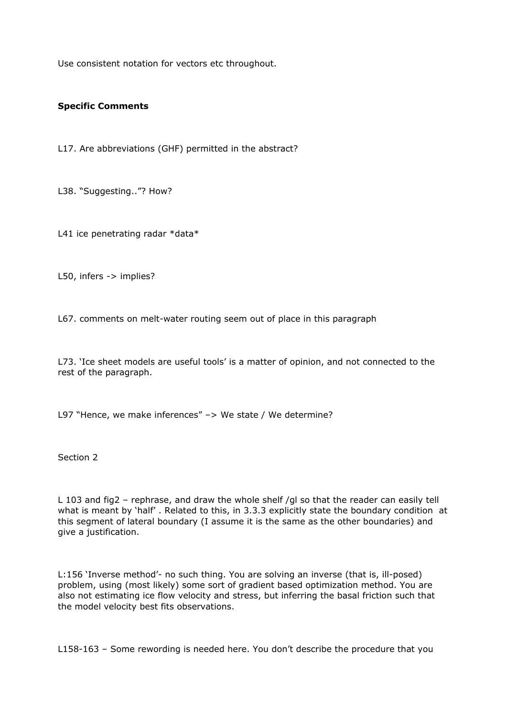Use consistent notation for vectors etc throughout.

## **Specific Comments**

L17. Are abbreviations (GHF) permitted in the abstract?

L38. "Suggesting.."? How?

L41 ice penetrating radar \*data\*

L50, infers -> implies?

L67. comments on melt-water routing seem out of place in this paragraph

L73. 'Ice sheet models are useful tools' is a matter of opinion, and not connected to the rest of the paragraph.

L97 "Hence, we make inferences" -> We state / We determine?

Section 2

L 103 and fig2 – rephrase, and draw the whole shelf /gl so that the reader can easily tell what is meant by 'half' . Related to this, in 3.3.3 explicitly state the boundary condition at this segment of lateral boundary (I assume it is the same as the other boundaries) and give a justification.

L:156 'Inverse method'- no such thing. You are solving an inverse (that is, ill-posed) problem, using (most likely) some sort of gradient based optimization method. You are also not estimating ice flow velocity and stress, but inferring the basal friction such that the model velocity best fits observations.

L158-163 – Some rewording is needed here. You don't describe the procedure that you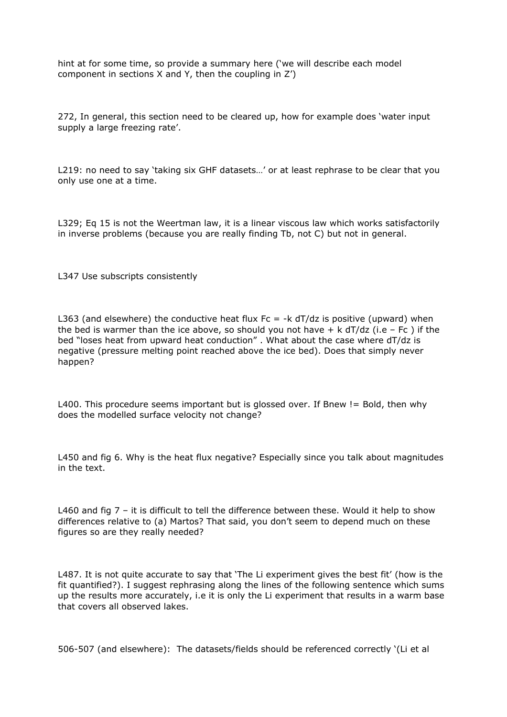hint at for some time, so provide a summary here ('we will describe each model component in sections X and Y, then the coupling in Z')

272, In general, this section need to be cleared up, how for example does 'water input supply a large freezing rate'.

L219: no need to say 'taking six GHF datasets…' or at least rephrase to be clear that you only use one at a time.

L329; Eq 15 is not the Weertman law, it is a linear viscous law which works satisfactorily in inverse problems (because you are really finding Tb, not C) but not in general.

L347 Use subscripts consistently

L363 (and elsewhere) the conductive heat flux Fc =  $-k$  dT/dz is positive (upward) when the bed is warmer than the ice above, so should you not have  $+ k dT/dz$  (i.e – Fc) if the bed "loses heat from upward heat conduction" . What about the case where dT/dz is negative (pressure melting point reached above the ice bed). Does that simply never happen?

L400. This procedure seems important but is glossed over. If Bnew != Bold, then why does the modelled surface velocity not change?

L450 and fig 6. Why is the heat flux negative? Especially since you talk about magnitudes in the text.

L460 and fig  $7$  – it is difficult to tell the difference between these. Would it help to show differences relative to (a) Martos? That said, you don't seem to depend much on these figures so are they really needed?

L487. It is not quite accurate to say that 'The Li experiment gives the best fit' (how is the fit quantified?). I suggest rephrasing along the lines of the following sentence which sums up the results more accurately, i.e it is only the Li experiment that results in a warm base that covers all observed lakes.

506-507 (and elsewhere): The datasets/fields should be referenced correctly '(Li et al